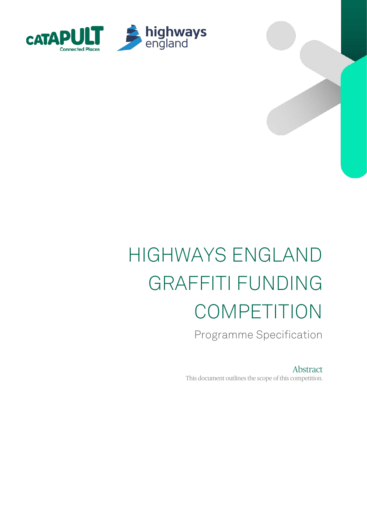

# HIGHWAYS ENGLAND GRAFFITI FUNDING COMPETITION

Programme Specification

Abstract This document outlines the scope of this competition.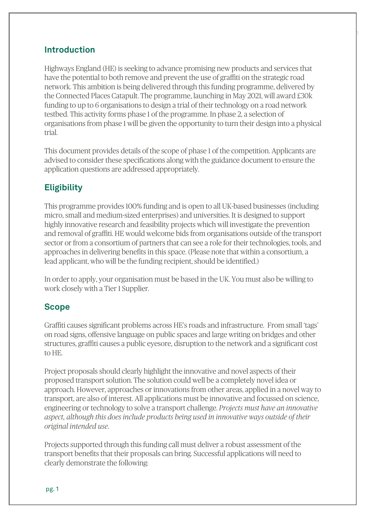### **Introduction**

Highways England (HE) is seeking to advance promising new products and services that have the potential to both remove and prevent the use of graffiti on the strategic road network. This ambition is being delivered through this funding programme, delivered by the Connected Places Catapult. The programme, launching in May 2021, will award £30k funding to up to 6 organisations to design a trial of their technology on a road network testbed. This activity forms phase 1 of the programme. In phase 2, a selection of organisations from phase 1 will be given the opportunity to turn their design into a physical trial.

1

This document provides details of the scope of phase 1 of the competition. Applicants are advised to consider these specifications along with the guidance document to ensure the application questions are addressed appropriately.

## **Eligibility**

This programme provides 100% funding and is open to all UK-based businesses (including micro, small and medium-sized enterprises) and universities. It is designed to support highly innovative research and feasibility projects which will investigate the prevention and removal of graffiti. HE would welcome bids from organisations outside of the transport sector or from a consortium of partners that can see a role for their technologies, tools, and approaches in delivering benefits in this space. (Please note that within a consortium, a lead applicant, who will be the funding recipient, should be identified.)

In order to apply, your organisation must be based in the UK. You must also be willing to work closely with a Tier 1 Supplier.

### **Scope**

Graffiti causes significant problems across HE's roads and infrastructure. From small 'tags' on road signs, offensive language on public spaces and large writing on bridges and other structures, graffiti causes a public eyesore, disruption to the network and a significant cost to HE.

Project proposals should clearly highlight the innovative and novel aspects of their proposed transport solution. The solution could well be a completely novel idea or approach. However, approaches or innovations from other areas, applied in a novel way to transport, are also of interest. All applications must be innovative and focussed on science, engineering or technology to solve a transport challenge. *Projects must have an innovative aspect, although this does include products being used in innovative ways outside of their original intended use.*

Projects supported through this funding call must deliver a robust assessment of the transport benefits that their proposals can bring. Successful applications will need to clearly demonstrate the following: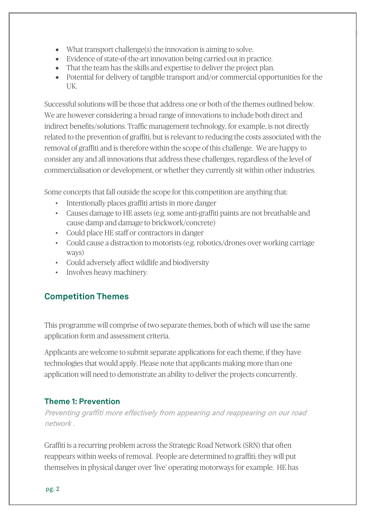- What transport challenge(s) the innovation is aiming to solve.
- Evidence of state-of-the-art innovation being carried out in practice.
- That the team has the skills and expertise to deliver the project plan.
- Potential for delivery of tangible transport and/or commercial opportunities for the UK.

2

Successful solutions will be those that address one or both of the themes outlined below. We are however considering a broad range of innovations to include both direct and indirect benefits/solutions. Traffic management technology, for example, is not directly related to the prevention of graffiti, but is relevant to reducing the costs associated with the removal of graffiti and is therefore within the scope of this challenge. We are happy to consider any and all innovations that address these challenges, regardless of the level of commercialisation or development, or whether they currently sit within other industries.

Some concepts that fall outside the scope for this competition are anything that:

- Intentionally places graffiti artists in more danger
- Causes damage to HE assets (e.g. some anti-graffiti paints are not breathable and cause damp and damage to brickwork/concrete)
- Could place HE staff or contractors in danger
- Could cause a distraction to motorists (e.g. robotics/drones over working carriage ways)
- Could adversely affect wildlife and biodiversity
- Involves heavy machinery.

## **Competition Themes**

This programme will comprise of two separate themes, both of which will use the same application form and assessment criteria.

Applicants are welcome to submit separate applications for each theme, if they have technologies that would apply. Please note that applicants making more than one application will need to demonstrate an ability to deliver the projects concurrently.

## **Theme 1: Prevention**

Preventing graffiti more effectively from appearing and reappearing on our road network .

Graffiti is a recurring problem across the Strategic Road Network (SRN) that often reappears within weeks of removal. People are determined to graffiti; they will put themselves in physical danger over 'live' operating motorways for example. HE has